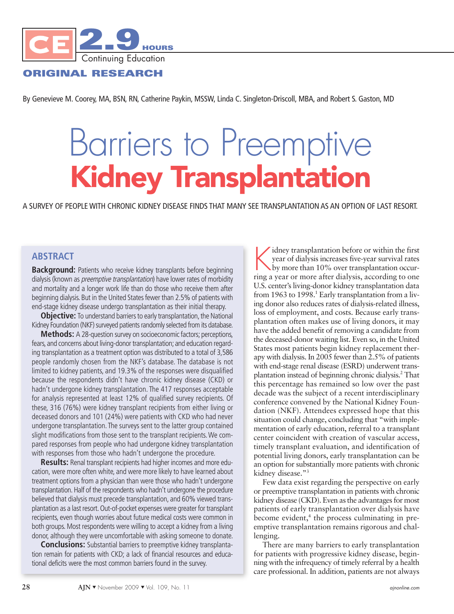

# **ORIGINAL RESEARCH**

By Genevieve M. Coorey, MA, BSN, RN, Catherine Paykin, MSSW, Linda C. Singleton-Driscoll, MBA, and Robert S. Gaston, MD

# Barriers to Preemptive **Kidney Transplantation**

A SURVEY OF PEOPLE WITH CHRONIC KIDNEY DISEASE FINDS THAT MANY SEE TRANSPLANTATION AS AN OPTION OF LAST RESORT.

# **ABSTRACT**

**Background:** Patients who receive kidney transplants before beginning dialysis (known as *preemptive transplantation*) have lower rates of morbidity and mortality and a longer work life than do those who receive them after beginning dialysis. But in the United States fewer than 2.5% of patients with end-stage kidney disease undergo transplantation as their initial therapy.

**Objective:** To understand barriers to early transplantation, the National Kidney Foundation (NKF) surveyed patients randomly selected from its database.

Methods: A 28-question survey on socioeconomic factors; perceptions, fears, and concerns about living-donor transplantation; and education regarding transplantation as a treatment option was distributed to a total of 3,586 people randomly chosen from the NKF's database. The database is not limited to kidney patients, and 19.3% of the responses were disqualified because the respondents didn't have chronic kidney disease (CKD) or hadn't undergone kidney transplantation. The 417 responses acceptable for analysis represented at least 12% of qualified survey recipients. Of these, 316 (76%) were kidney transplant recipients from either living or deceased donors and 101 (24%) were patients with CKD who had never undergone transplantation. The surveys sent to the latter group contained slight modifications from those sent to the transplant recipients.We compared responses from people who had undergone kidney transplantation with responses from those who hadn't undergone the procedure.

**Results:** Renal transplant recipients had higher incomes and more education, were more often white, and were more likely to have learned about treatment options from a physician than were those who hadn't undergone transplantation. Half of the respondents who hadn't undergone the procedure believed that dialysis must precede transplantation, and 60% viewed transplantation as a last resort. Out-of-pocket expenses were greater for transplant recipients, even though worries about future medical costs were common in both groups. Most respondents were willing to accept a kidney from a living donor, although they were uncomfortable with asking someone to donate.

**Conclusions:** Substantial barriers to preemptive kidney transplantation remain for patients with CKD; a lack of financial resources and educational deficits were the most common barriers found in the survey.

idney transplantation before or within the first year of dialysis increases five-year survival rates by more than 10% over transplantation occurring a year or more after dialysis, according to one U.S. center's living-donor kidney transplantation data from 1963 to 1998. <sup>1</sup> Early transplantation from a living donor also reduces rates of dialysis-related illness, loss of employment, and costs. Because early transplantation often makes use of living donors, it may have the added benefit of removing a candidate from the deceased-donor waiting list. Even so, in the United States most patients begin kidney replacement therapy with dialysis. In 2005 fewer than 2.5% of patients with end-stage renal disease (ESRD) underwent transplantation instead of beginning chronic dialysis. <sup>2</sup> That this percentage has remained so low over the past decade was the subject of a recent interdisciplinary conference convened by the National Kidney Foundation (NKF). Attendees expressed hope that this situation could change, concluding that "with implementation of early education, referral to a transplant center coincident with creation of vascular access, timely transplant evaluation, and identification of potential living donors, early transplantation can be an option for substantially more patients with chronic kidney disease."<sup>3</sup>

Few data exist regarding the perspective on early or preemptive transplantation in patients with chronic kidney disease (CKD). Even as the advantages for most patients of early transplantation over dialysis have become evident, <sup>4</sup> the process culminating in preemptive transplantation remains rigorous and challenging.

There are many barriers to early transplantation for patients with progressive kidney disease, beginning with the infrequency of timely referral by a health care professional. In addition, patients are not always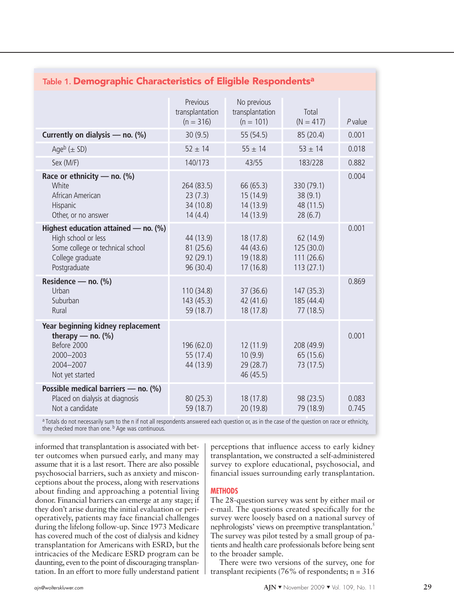| lable 1. Demographic Characteristics of Eligible Respondents°                                                                       |                                                |                                                  |                                                   |                |  |  |
|-------------------------------------------------------------------------------------------------------------------------------------|------------------------------------------------|--------------------------------------------------|---------------------------------------------------|----------------|--|--|
|                                                                                                                                     | Previous<br>transplantation<br>$(n = 316)$     | No previous<br>transplantation<br>$(n = 101)$    | Total<br>$(N = 417)$                              | $P$ value      |  |  |
| Currently on dialysis $-$ no. (%)                                                                                                   | 30(9.5)                                        | 55 (54.5)                                        | 85 (20.4)                                         | 0.001          |  |  |
| Ageb $(\pm$ SD)                                                                                                                     | $52 \pm 14$                                    | $55 \pm 14$                                      | $53 \pm 14$                                       | 0.018          |  |  |
| Sex (M/F)                                                                                                                           | 140/173                                        | 43/55                                            | 183/228                                           | 0.882          |  |  |
| Race or ethnicity — no. $(\%)$<br>White<br>African American<br>Hispanic<br>Other, or no answer                                      | 264 (83.5)<br>23(7.3)<br>34 (10.8)<br>14(4.4)  | 66 (65.3)<br>15 (14.9)<br>14 (13.9)<br>14 (13.9) | 330 (79.1)<br>38(9.1)<br>48 (11.5)<br>28(6.7)     | 0.004          |  |  |
| Highest education attained - no. (%)<br>High school or less<br>Some college or technical school<br>College graduate<br>Postgraduate | 44 (13.9)<br>81(25.6)<br>92(29.1)<br>96 (30.4) | 18 (17.8)<br>44 (43.6)<br>19 (18.8)<br>17(16.8)  | 62 (14.9)<br>125 (30.0)<br>111(26.6)<br>113(27.1) | 0.001          |  |  |
| Residence - no. (%)<br>Urban<br>Suburban<br>Rural                                                                                   | 110 (34.8)<br>143 (45.3)<br>59 (18.7)          | 37 (36.6)<br>42 (41.6)<br>18 (17.8)              | 147 (35.3)<br>185 (44.4)<br>77(18.5)              | 0.869          |  |  |
| Year beginning kidney replacement<br>therapy — no. $(\%)$<br>Before 2000<br>2000-2003<br>2004-2007<br>Not yet started               | 196 (62.0)<br>55 (17.4)<br>44 (13.9)           | 12 (11.9)<br>10(9.9)<br>29 (28.7)<br>46 (45.5)   | 208 (49.9)<br>65 (15.6)<br>73 (17.5)              | 0.001          |  |  |
| Possible medical barriers - no. (%)<br>Placed on dialysis at diagnosis<br>Not a candidate                                           | 80(25.3)<br>59 (18.7)                          | 18 (17.8)<br>20 (19.8)                           | 98 (23.5)<br>79 (18.9)                            | 0.083<br>0.745 |  |  |

# **Table 1. Demographic Characteristics of Eligible Respondentsa**

a Totals do not necessarily sum to the n if not all respondents answered each question or, as in the case of the question on race or ethnicity, they checked more than one. <sup>b</sup> Age was continuous.

informed that transplantation is associated with better outcomes when pursued early, and many may assume that it is a last resort. There are also possible psychosocial barriers, such as anxiety and misconceptions about the process, along with reservations about finding and approaching a potential living donor. Financial barriers can emerge at any stage; if they don't arise during the initial evaluation or perioperatively, patients may face financial challenges during the lifelong follow-up. Since 1973 Medicare has covered much of the cost of dialysis and kidney transplantation for Americans with ESRD, but the intricacies of the Medicare ESRD program can be daunting, even to the point of discouraging transplantation. In an effort to more fully understand patient perceptions that influence access to early kidney transplantation, we constructed a self-administered survey to explore educational, psychosocial, and financial issues surrounding early transplantation.

#### **METHODS**

The 28-question survey was sent by either mail or e-mail. The questions created specifically for the survey were loosely based on a national survey of nephrologists' views on preemptive transplantation. 5 The survey was pilot tested by a small group of patients and health care professionals before being sent to the broader sample.

There were two versions of the survey, one for transplant recipients (76% of respondents; n = 316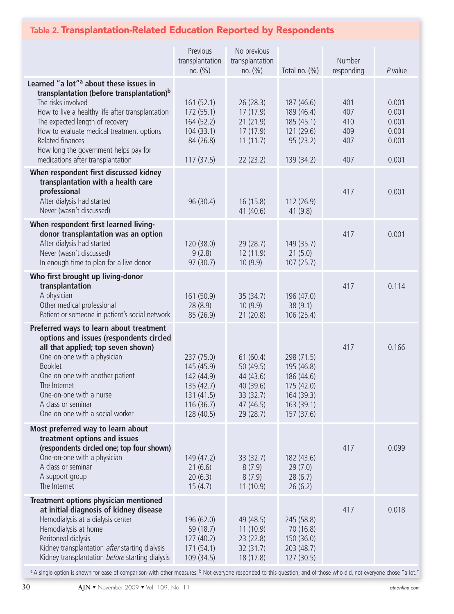# **Table 2. Transplantation-Related Education Reported by Respondents**

|                                                                                                                                                                                                                                                                                                                                                                         | Previous<br>transplantation<br>no. (%)                                                       | No previous<br>transplantation<br>no. (%)                                            | Total no. (%)                                                                                  | Number<br>responding                   | $P$ value                                          |
|-------------------------------------------------------------------------------------------------------------------------------------------------------------------------------------------------------------------------------------------------------------------------------------------------------------------------------------------------------------------------|----------------------------------------------------------------------------------------------|--------------------------------------------------------------------------------------|------------------------------------------------------------------------------------------------|----------------------------------------|----------------------------------------------------|
| Learned "a lot" <sup>a</sup> about these issues in<br>transplantation (before transplantation) <sup>b</sup><br>The risks involved<br>How to live a healthy life after transplantation<br>The expected length of recovery<br>How to evaluate medical treatment options<br>Related finances<br>How long the government helps pay for<br>medications after transplantation | 161(52.1)<br>172(55.1)<br>164 (52.2)<br>104(33.1)<br>84 (26.8)<br>117(37.5)                  | 26(28.3)<br>17(17.9)<br>21(21.9)<br>17(17.9)<br>11(11.7)<br>22(23.2)                 | 187 (46.6)<br>189 (46.4)<br>185 (45.1)<br>121 (29.6)<br>95(23.2)<br>139 (34.2)                 | 401<br>407<br>410<br>409<br>407<br>407 | 0.001<br>0.001<br>0.001<br>0.001<br>0.001<br>0.001 |
| When respondent first discussed kidney<br>transplantation with a health care<br>professional<br>After dialysis had started<br>Never (wasn't discussed)                                                                                                                                                                                                                  | 96 (30.4)                                                                                    | 16(15.8)<br>41 (40.6)                                                                | 112(26.9)<br>41 (9.8)                                                                          | 417                                    | 0.001                                              |
| When respondent first learned living-<br>donor transplantation was an option<br>After dialysis had started<br>Never (wasn't discussed)<br>In enough time to plan for a live donor                                                                                                                                                                                       | 120 (38.0)<br>9(2.8)<br>97(30.7)                                                             | 29 (28.7)<br>12(11.9)<br>10(9.9)                                                     | 149 (35.7)<br>21(5.0)<br>107(25.7)                                                             | 417                                    | 0.001                                              |
| Who first brought up living-donor<br>transplantation<br>A physician<br>Other medical professional<br>Patient or someone in patient's social network                                                                                                                                                                                                                     | 161(50.9)<br>28(8.9)<br>85 (26.9)                                                            | 35(34.7)<br>10(9.9)<br>21(20.8)                                                      | 196 (47.0)<br>38(9.1)<br>106(25.4)                                                             | 417                                    | 0.114                                              |
| Preferred ways to learn about treatment<br>options and issues (respondents circled<br>all that applied; top seven shown)<br>One-on-one with a physician<br><b>Booklet</b><br>One-on-one with another patient<br>The Internet<br>One-on-one with a nurse<br>A class or seminar<br>One-on-one with a social worker                                                        | 237 (75.0)<br>145 (45.9)<br>142 (44.9)<br>135(42.7)<br>131(41.5)<br>116 (36.7)<br>128 (40.5) | 61(60.4)<br>50(49.5)<br>44 (43.6)<br>40 (39.6)<br>33(32.7)<br>47 (46.5)<br>29 (28.7) | 298 (71.5)<br>195 (46.8)<br>186 (44.6)<br>175 (42.0)<br>164 (39.3)<br>163 (39.1)<br>157 (37.6) | 417                                    | 0.166                                              |
| Most preferred way to learn about<br>treatment options and issues<br>(respondents circled one; top four shown)<br>One-on-one with a physician<br>A class or seminar<br>A support group<br>The Internet                                                                                                                                                                  | 149 (47.2)<br>21(6.6)<br>20(6.3)<br>15(4.7)                                                  | 33(32.7)<br>8(7.9)<br>8(7.9)<br>11(10.9)                                             | 182 (43.6)<br>29(7.0)<br>28(6.7)<br>26(6.2)                                                    | 417                                    | 0.099                                              |
| Treatment options physician mentioned<br>at initial diagnosis of kidney disease<br>Hemodialysis at a dialysis center<br>Hemodialysis at home<br>Peritoneal dialysis<br>Kidney transplantation after starting dialysis<br>Kidney transplantation before starting dialysis                                                                                                | 196 (62.0)<br>59 (18.7)<br>127(40.2)<br>171(54.1)<br>109 (34.5)                              | 49 (48.5)<br>11(10.9)<br>23(22.8)<br>32(31.7)<br>18 (17.8)                           | 245 (58.8)<br>70 (16.8)<br>150 (36.0)<br>203 (48.7)<br>127(30.5)                               | 417                                    | 0.018                                              |

<sup>a</sup> A single option is shown for ease of comparison with other measures. <sup>b</sup> Not everyone responded to this question, and of those who did, not everyone chose "a lot."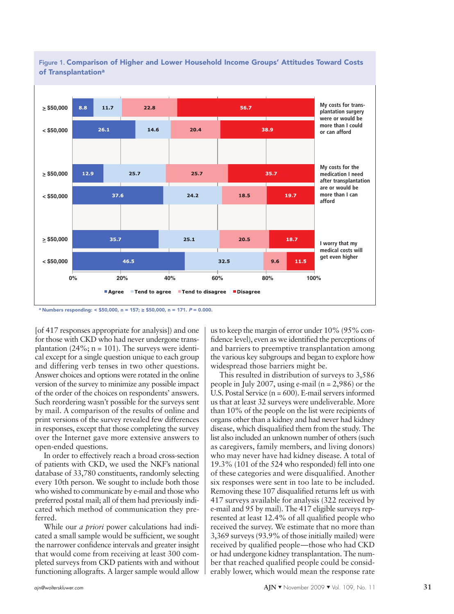

**Figure 1. Comparison of Higher and Lower Household Income Groups' Attitudes Toward Costs of Transplantationa**

**<sup>a</sup> Numbers responding: < \$50,000, n = 157; ≥ \$50,000, n = 171. <sup>P</sup> = 0.000.**

[of 417 responses appropriate for analysis]) and one for those with CKD who had never undergone transplantation (24%;  $n = 101$ ). The surveys were identical except for a single question unique to each group and differing verb tenses in two other questions. Answer choices and options were rotated in the online version of the survey to minimize any possible impact of the order of the choices on respondents' answers. Such reordering wasn't possible for the surveys sent by mail. A comparison of the results of online and print versions of the survey revealed few differences in responses, except that those completing the survey over the Internet gave more extensive answers to open-ended questions.

In order to effectively reach a broad cross-section of patients with CKD, we used the NKF's national database of 33,780 constituents, randomly selecting every 10th person. We sought to include both those who wished to communicate by e-mail and those who preferred postal mail; all of them had previously indicated which method of communication they preferred.

While our *a priori* power calculations had indicated a small sample would be sufficient, we sought the narrower confidence intervals and greater insight that would come from receiving at least 300 completed surveys from CKD patients with and without functioning allografts. A larger sample would allow

usto keep the margin of error under 10% (95% confidence level), even as we identified the perceptions of and barriers to preemptive transplantation among the various key subgroups and began to explore how widespread those barriers might be.

This resulted in distribution of surveys to 3,586 people in July 2007, using e-mail (n = 2,986) or the U.S. Postal Service  $(n = 600)$ . E-mail servers informed us that at least 32 surveys were undeliverable. More than 10% of the people on the list were recipients of organs other than a kidney and had never had kidney disease, which disqualified them from the study. The list also included an unknown number of others(such as caregivers, family members, and living donors) who may never have had kidney disease. A total of 19.3% (101 of the 524 who responded) fell into one of these categories and were disqualified. Another six responses were sent in too late to be included. Removing these 107 disqualified returns left us with 417 surveys available for analysis (322 received by e-mail and 95 by mail). The 417 eligible surveys represented at least 12.4% of all qualified people who received the survey. We estimate that no more than 3,369 surveys (93.9% of those initially mailed) were received by qualified people—those who had CKD or had undergone kidney transplantation. The number that reached qualified people could be considerably lower, which would mean the response rate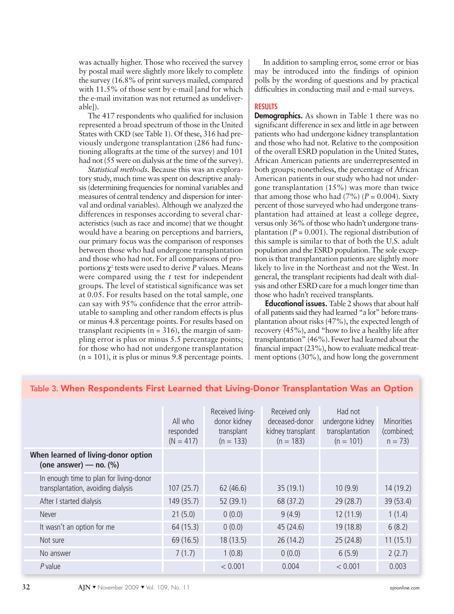was actually higher. Those who received the survey by postal mail were slightly more likely to complete the survey (16.8% of print surveys mailed, compared with 11.5% of those sent by e-mail [and for which the e-mail invitation was not returned as undeliverable]).

The 417 respondents who qualified for inclusion represented a broad spectrum of those in the United States with CKD (see Table 1). Of these, 316 had previously undergone transplantation (286 had functioning allografts at the time of the survey) and 101 had not (55 were on dialysis at the time of the survey).

*Statistical methods.* Because this was an exploratory study, much time was spent on descriptive analysis (determining frequencies for nominal variables and measures of central tendency and dispersion for interval and ordinal variables). Although we analyzed the differences in responses according to several characteristics (such as race and income) that we thought would have a bearing on perceptions and barriers, our primary focus was the comparison of responses between those who had undergone transplantation and those who had not. For all comparisons of proportions  $\chi^2$  tests were used to derive *P* values. Means were compared using the *t* test for independent groups. The level of statistical significance was set at 0.05. For results based on the total sample, one can say with 95% confidence that the error attributable to sampling and other random effects is plus or minus 4.8 percentage points. For results based on transplant recipients ( $n = 316$ ), the margin of sampling error is plus or minus 5.5 percentage points; for those who had not undergone transplantation  $(n = 101)$ , it is plus or minus 9.8 percentage points.

In addition to sampling error, some error or bias may be introduced into the findings of opinion polls by the wording of questions and by practical difficulties in conducting mail and e-mail surveys.

### **RESULTS**

**Demographics.** As shown in Table 1 there was no significant difference in sex and little in age between patients who had undergone kidney transplantation and those who had not. Relative to the composition of the overall ESRD population in the United States, African American patients are underrepresented in both groups; nonetheless, the percentage of African American patients in our study who had not undergone transplantation (15%) was more than twice that among those who had  $(7%)$  ( $P = 0.004$ ). Sixty percent of those surveyed who had undergone transplantation had attained at least a college degree, versus only 36% of those who hadn't undergone transplantation ( $P = 0.001$ ). The regional distribution of this sample is similar to that of both the U.S. adult population and the ESRD population. The sole exception is that transplantation patients are slightly more likely to live in the Northeast and not the West. In general, the transplant recipients had dealt with dialysis and other ESRD care for a much longer time than those who hadn't received transplants.

**Educational issues.** Table 2 showsthat about half of all patients said they had learned "a lot" before transplantation about risks (47%), the expected length of recovery (45%), and "how to live a healthy life after transplantation" (46%). Fewer had learned about the financial impact (23%), how to evaluate medical treatment options (30%), and how long the government

|                                                                               | All who<br>responded<br>$(N = 417)$ | Received living-<br>donor kidney<br>transplant<br>$(n = 133)$ | Received only<br>deceased-donor<br>kidney transplant<br>$(n = 183)$ | Had not<br>undergone kidney<br>transplantation<br>$(n = 101)$ | <b>Minorities</b><br>(combined;<br>$n = 73$ |
|-------------------------------------------------------------------------------|-------------------------------------|---------------------------------------------------------------|---------------------------------------------------------------------|---------------------------------------------------------------|---------------------------------------------|
| When learned of living-donor option<br>(one answer) — no. $(\%)$              |                                     |                                                               |                                                                     |                                                               |                                             |
| In enough time to plan for living-donor<br>transplantation, avoiding dialysis | 107(25.7)                           | 62 (46.6)                                                     | 35(19.1)                                                            | 10(9.9)                                                       | 14 (19.2)                                   |
| After I started dialysis                                                      | 149 (35.7)                          | 52 (39.1)                                                     | 68 (37.2)                                                           | 29(28.7)                                                      | 39 (53.4)                                   |
| Never                                                                         | 21(5.0)                             | 0(0.0)                                                        | 9(4.9)                                                              | 12(11.9)                                                      | 1(1.4)                                      |
| It wasn't an option for me                                                    | 64 (15.3)                           | 0(0.0)                                                        | 45 (24.6)                                                           | 19 (18.8)                                                     | 6(8.2)                                      |
| Not sure                                                                      | 69 (16.5)                           | 18(13.5)                                                      | 26(14.2)                                                            | 25(24.8)                                                      | 11(15.1)                                    |
| No answer                                                                     | 7(1.7)                              | 1(0.8)                                                        | 0(0.0)                                                              | 6(5.9)                                                        | 2(2.7)                                      |
| P value                                                                       |                                     | < 0.001                                                       | 0.004                                                               | < 0.001                                                       | 0.003                                       |

## **Table 3. When Respondents First Learned that Living-Donor Transplantation Was an Option**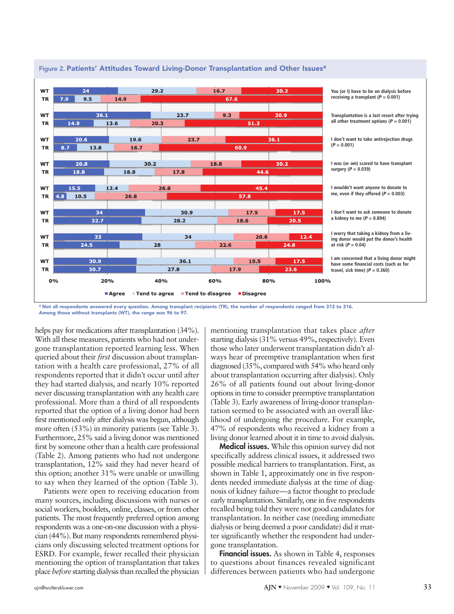

#### **Figure 2. Patients' Attitudes Toward Living-Donor Transplantation and Other Issuesa**

a Not all respondents answered every question. Among transplant recipients (TR), the number of respondents ranged from 312 to 316. **Among those without transplants (WT), the range was 96 to 97.**

helps pay for medications after transplantation (34%). With all these measures, patients who had not undergone transplantation reported learning less. When queried about their *first* discussion about transplantation with a health care professional, 27% of all respondents reported that it didn't occur until after they had started dialysis, and nearly 10% reported never discussing transplantation with any health care professional. More than a third of all respondents reported that the option of a living donor had been first mentioned only after dialysis was begun, although more often (53%) in minority patients (see Table 3). Furthermore, 25% said a living donor was mentioned first by someone other than a health care professional (Table 2). Among patients who had not undergone transplantation, 12% said they had never heard of this option; another 31% were unable or unwilling to say when they learned of the option (Table 3).

Patients were open to receiving education from many sources, including discussions with nurses or social workers, booklets, online, classes, or from other patients. The most frequently preferred option among respondents was a one-on-one discussion with a physi $cian (44\%)$ . But many respondents remembered physicians only discussing selected treatment options for ESRD. For example, fewer recalled their physician mentioning the option of transplantation that takes place *before* starting dialysis than recalled the physician

mentioning transplantation that takes place *after* starting dialysis (31% versus 49%, respectively). Even those who later underwent transplantation didn't always hear of preemptive transplantation when first diagnosed  $(35\%$ , compared with  $54\%$  who heard only about transplantation occurring after dialysis). Only 26% of all patients found out about living-donor optionsin time to consider preemptive transplantation (Table 3). Early awareness of living-donor transplantation seemed to be associated with an overall likelihood of undergoing the procedure. For example, 47% of respondents who received a kidney from a living donor learned about it in time to avoid dialysis.

**Medical issues.** While this opinion survey did not specifically address clinical issues, it addressed two possible medical barriers to transplantation. First, as shown in Table 1, approximately one in five respondents needed immediate dialysis at the time of diagnosis of kidney failure—a factor thought to preclude early transplantation. Similarly, one in five respondents recalled being told they were not good candidates for transplantation. In neither case (needing immediate dialysis or being deemed a poor candidate) did it matter significantly whether the respondent had undergone transplantation.

**Financial issues.** As shown in Table 4, responses to questions about finances revealed significant differences between patients who had undergone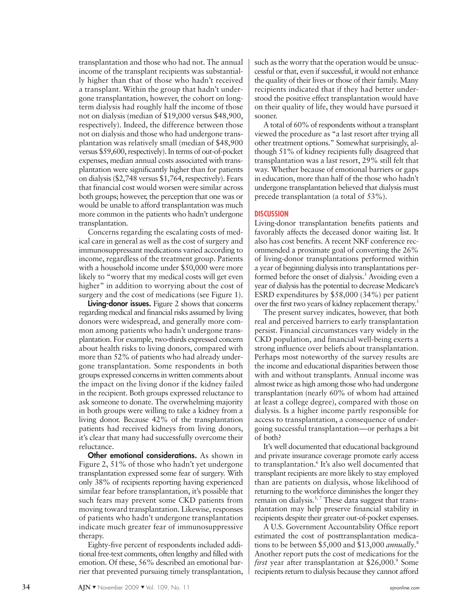transplantation and those who had not. The annual income of the transplant recipients was substantially higher than that of those who hadn't received a transplant. Within the group that hadn't undergone transplantation, however, the cohort on longterm dialysis had roughly half the income of those not on dialysis (median of \$19,000 versus \$48,900, respectively). Indeed, the difference between those not on dialysis and those who had undergone transplantation was relatively small (median of \$48,900 versus \$59,600, respectively). In terms of out-of-pocket expenses, median annual costs associated with transplantation were significantly higher than for patients on dialysis (\$2,748 versus \$1,764, respectively). Fears that financial cost would worsen were similar across both groups; however, the perception that one was or would be unable to afford transplantation was much more common in the patients who hadn't undergone transplantation.

Concerns regarding the escalating costs of medical care in general as well as the cost of surgery and immunosuppressant medications varied according to income, regardless of the treatment group. Patients with a household income under \$50,000 were more likely to "worry that my medical costs will get even higher" in addition to worrying about the cost of surgery and the cost of medications (see Figure 1).

**Living-donor issues.** Figure 2 shows that concerns regarding medical and financial risks assumed by living donors were widespread, and generally more common among patients who hadn't undergone transplantation. For example, two-thirds expressed concern about health risks to living donors, compared with more than 52% of patients who had already undergone transplantation. Some respondents in both groups expressed concernsin written comments about the impact on the living donor if the kidney failed in the recipient. Both groups expressed reluctance to ask someone to donate. The overwhelming majority in both groups were willing to take a kidney from a living donor. Because 42% of the transplantation patients had received kidneys from living donors, it's clear that many had successfully overcome their reluctance.

**Other emotional considerations.** As shown in Figure 2, 51% of those who hadn't yet undergone transplantation expressed some fear of surgery. With only 38% of recipients reporting having experienced similar fear before transplantation, it's possible that such fears may prevent some CKD patients from moving toward transplantation. Likewise, responses of patients who hadn't undergone transplantation indicate much greater fear of immunosuppressive therapy.

Eighty-five percent of respondents included additional free-text comments, often lengthy and filled with emotion. Of these, 56% described an emotional barrier that prevented pursuing timely transplantation,

such as the worry that the operation would be unsuccessful or that, even if successful, it would not enhance the quality of their lives or those of their family. Many recipients indicated that if they had better understood the positive effect transplantation would have on their quality of life, they would have pursued it sooner.

A total of 60% of respondents without a transplant viewed the procedure as "a last resort after trying all other treatment options." Somewhat surprisingly, although 51% of kidney recipients fully disagreed that transplantation was a last resort, 29% still felt that way. Whether because of emotional barriers or gaps in education, more than half of the those who hadn't undergone transplantation believed that dialysis must precede transplantation (a total of 53%).

#### **DISCUSSION**

Living-donor transplantation benefits patients and favorably affects the deceased donor waiting list. It also has cost benefits. A recent NKF conference recommended a proximate goal of converting the 26% of living-donor transplantations performed within a year of beginning dialysisinto transplantations performed before the onset of dialysis. <sup>3</sup> Avoiding even a year of dialysis has the potential to decrease Medicare's ESRD expenditures by \$58,000 (34%) per patient over the first two years of kidney replacement therapy.<sup>3</sup>

The present survey indicates, however, that both real and perceived barriers to early transplantation persist. Financial circumstances vary widely in the CKD population, and financial well-being exerts a strong influence over beliefs about transplantation. Perhaps most noteworthy of the survey results are the income and educational disparities between those with and without transplants. Annual income was almost twice as high among those who had undergone transplantation (nearly 60% of whom had attained at least a college degree), compared with those on dialysis. Is a higher income partly responsible for access to transplantation, a consequence of undergoing successful transplantation—or perhaps a bit of both?

It's well documented that educational background and private insurance coverage promote early access to transplantation. <sup>6</sup> It's also well documented that transplant recipients are more likely to stay employed than are patients on dialysis, whose likelihood of returning to the workforce diminishes the longer they remain on dialysis.<sup>1,7</sup> These data suggest that transplantation may help preserve financial stability in recipients despite their greater out-of-pocket expenses.

A U.S. Government Accountability Office report estimated the cost of posttransplantation medications to be between \$5,000 and \$13,000 *annually*. 8 Another report puts the cost of medications for the *first* year after transplantation at \$26,000. <sup>9</sup> Some recipients return to dialysis because they cannot afford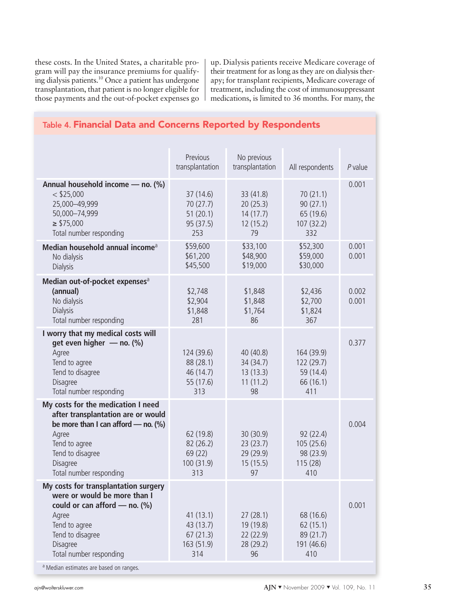these costs. In the United States, a charitable program will pay the insurance premiums for qualifying dialysis patients. <sup>10</sup> Once a patient has undergone transplantation, that patient is no longer eligible for those payments and the out-of-pocket expenses go up. Dialysis patients receive Medicare coverage of their treatment for as long as they are on dialysis therapy; for transplant recipients, Medicare coverage of treatment, including the cost of immunosuppressant medications, is limited to 36 months. For many, the

| The manufacturer with songerna reported by reapondents                                                                                                                                                 |                                                          |                                                       |                                                           |                |
|--------------------------------------------------------------------------------------------------------------------------------------------------------------------------------------------------------|----------------------------------------------------------|-------------------------------------------------------|-----------------------------------------------------------|----------------|
|                                                                                                                                                                                                        | Previous<br>transplantation                              | No previous<br>transplantation                        | All respondents                                           | $P$ value      |
| Annual household income - no. (%)<br>$<$ \$25,000<br>25,000-49,999<br>50,000-74,999<br>$\ge$ \$75,000<br>Total number responding                                                                       | 37(14.6)<br>70 (27.7)<br>51(20.1)<br>95 (37.5)<br>253    | 33 (41.8)<br>20(25.3)<br>14(17.7)<br>12(15.2)<br>79   | 70(21.1)<br>90(27.1)<br>65 (19.6)<br>107 (32.2)<br>332    | 0.001          |
| Median household annual income <sup>a</sup><br>No dialysis<br><b>Dialysis</b>                                                                                                                          | \$59,600<br>\$61,200<br>\$45,500                         | \$33,100<br>\$48,900<br>\$19,000                      | \$52,300<br>\$59,000<br>\$30,000                          | 0.001<br>0.001 |
| Median out-of-pocket expenses <sup>a</sup><br>(annual)<br>No dialysis<br><b>Dialysis</b><br>Total number responding                                                                                    | \$2,748<br>\$2,904<br>\$1,848<br>281                     | \$1,848<br>\$1,848<br>\$1,764<br>86                   | \$2,436<br>\$2,700<br>\$1,824<br>367                      | 0.002<br>0.001 |
| I worry that my medical costs will<br>get even higher - no. (%)<br>Agree<br>Tend to agree<br>Tend to disagree<br>Disagree<br>Total number responding                                                   | 124 (39.6)<br>88 (28.1)<br>46 (14.7)<br>55 (17.6)<br>313 | 40 (40.8)<br>34(34.7)<br>13(13.3)<br>11(11.2)<br>98   | 164 (39.9)<br>122 (29.7)<br>59 (14.4)<br>66 (16.1)<br>411 | 0.377          |
| My costs for the medication I need<br>after transplantation are or would<br>be more than I can afford $-$ no. (%)<br>Agree<br>Tend to agree<br>Tend to disagree<br>Disagree<br>Total number responding | 62 (19.8)<br>82 (26.2)<br>69 (22)<br>100 (31.9)<br>313   | 30 (30.9)<br>23(23.7)<br>29 (29.9)<br>15(15.5)<br>97  | 92(22.4)<br>105(25.6)<br>98 (23.9)<br>115(28)<br>410      | 0.004          |
| My costs for transplantation surgery<br>were or would be more than I<br>could or can afford $-$ no. (%)<br>Agree<br>Tend to agree<br>Tend to disagree<br>Disagree<br>Total number responding           | 41(13.1)<br>43 (13.7)<br>67(21.3)<br>163 (51.9)<br>314   | 27(28.1)<br>19 (19.8)<br>22 (22.9)<br>28 (29.2)<br>96 | 68 (16.6)<br>62(15.1)<br>89 (21.7)<br>191 (46.6)<br>410   | 0.001          |

**Table 4. Financial Data and Concerns Reported by Respondents**

Median estimates are based on ranges.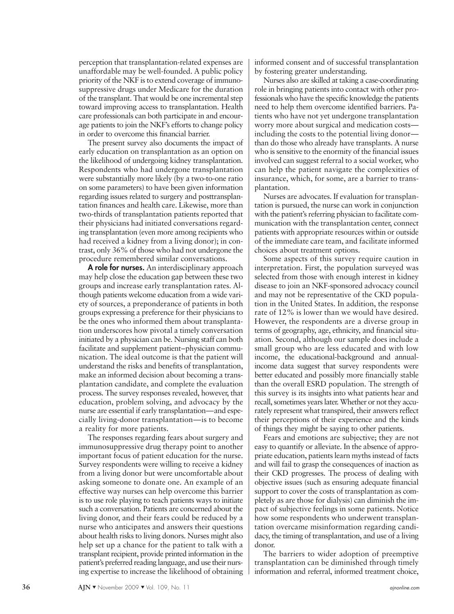perception that transplantation-related expenses are unaffordable may be well-founded. A public policy priority of the NKF is to extend coverage of immunosuppressive drugs under Medicare for the duration of the transplant. That would be one incremental step toward improving access to transplantation. Health care professionals can both participate in and encourage patients to join the NKF's efforts to change policy in order to overcome this financial barrier.

The present survey also documents the impact of early education on transplantation as an option on the likelihood of undergoing kidney transplantation. Respondents who had undergone transplantation were substantially more likely (by a two-to-one ratio on some parameters) to have been given information regarding issues related to surgery and posttransplantation finances and health care. Likewise, more than two-thirds of transplantation patients reported that their physicians had initiated conversations regarding transplantation (even more among recipients who had received a kidney from a living donor); in contrast, only 36% of those who had not undergone the procedure remembered similar conversations.

**A role for nurses.** An interdisciplinary approach may help close the education gap between these two groups and increase early transplantation rates. Although patients welcome education from a wide variety of sources, a preponderance of patients in both groups expressing a preference for their physicians to be the ones who informed them about transplantation underscores how pivotal a timely conversation initiated by a physician can be. Nursing staff can both facilitate and supplement patient–physician communication. The ideal outcome is that the patient will understand the risks and benefits of transplantation, make an informed decision about becoming a transplantation candidate, and complete the evaluation process. The survey responses revealed, however, that education, problem solving, and advocacy by the nurse are essential if early transplantation—and especially living-donor transplantation—is to become a reality for more patients.

The responses regarding fears about surgery and immunosuppressive drug therapy point to another important focus of patient education for the nurse. Survey respondents were willing to receive a kidney from a living donor but were uncomfortable about asking someone to donate one. An example of an effective way nurses can help overcome this barrier is to use role playing to teach patients ways to initiate such a conversation. Patients are concerned about the living donor, and their fears could be reduced by a nurse who anticipates and answers their questions about health risks to living donors. Nurses might also help set up a chance for the patient to talk with a transplant recipient, provide printed information in the patient's preferred reading language, and use their nursing expertise to increase the likelihood of obtaining

informed consent and of successful transplantation by fostering greater understanding.

Nurses also are skilled at taking a case-coordinating role in bringing patients into contact with other professionals who have the specific knowledge the patients need to help them overcome identified barriers. Patients who have not yet undergone transplantation worry more about surgical and medication costs including the costs to the potential living donor than do those who already have transplants. A nurse who is sensitive to the enormity of the financial issues involved can suggest referral to a social worker, who can help the patient navigate the complexities of insurance, which, for some, are a barrier to transplantation.

Nurses are advocates. If evaluation for transplantation is pursued, the nurse can work in conjunction with the patient's referring physician to facilitate communication with the transplantation center, connect patients with appropriate resources within or outside of the immediate care team, and facilitate informed choices about treatment options.

Some aspects of this survey require caution in interpretation. First, the population surveyed was selected from those with enough interest in kidney disease to join an NKF-sponsored advocacy council and may not be representative of the CKD population in the United States. In addition, the response rate of 12% is lower than we would have desired. However, the respondents are a diverse group in terms of geography, age, ethnicity, and financial situation. Second, although our sample does include a small group who are less educated and with low income, the educational-background and annualincome data suggest that survey respondents were better educated and possibly more financially stable than the overall ESRD population. The strength of this survey is its insights into what patients hear and recall, sometimes years later. Whether or not they accurately represent what transpired, their answers reflect their perceptions of their experience and the kinds of things they might be saying to other patients.

Fears and emotions are subjective; they are not easy to quantify or alleviate. In the absence of appropriate education, patients learn myths instead of facts and will fail to grasp the consequences of inaction as their CKD progresses. The process of dealing with objective issues (such as ensuring adequate financial support to cover the costs of transplantation as completely as are those for dialysis) can diminish the impact of subjective feelings in some patients. Notice how some respondents who underwent transplantation overcame misinformation regarding candidacy, the timing of transplantation, and use of a living donor.

The barriers to wider adoption of preemptive transplantation can be diminished through timely information and referral, informed treatment choice,